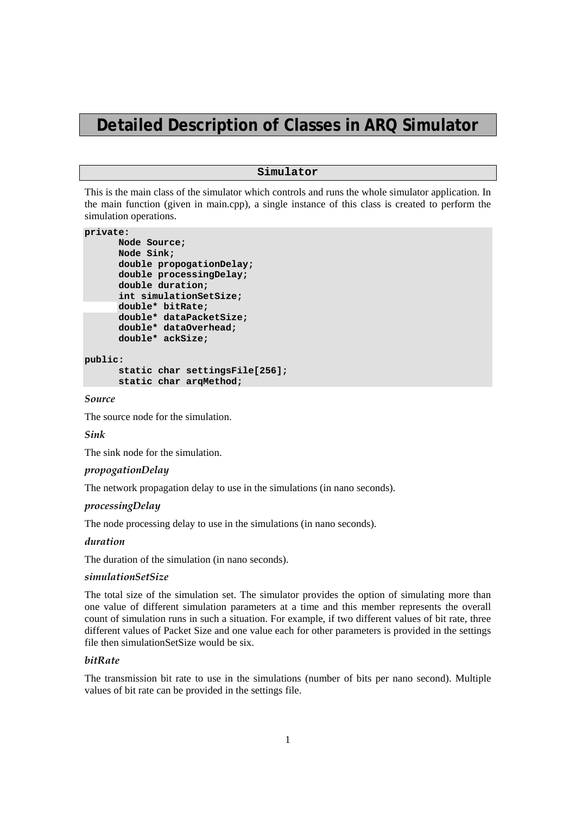# **Detailed Description of Classes in ARQ Simulator**

# **Simulator**

This is the main class of the simulator which controls and runs the whole simulator application. In the main function (given in main.cpp), a single instance of this class is created to perform the simulation operations.

#### **private:**

```
 Node Source; 
       Node Sink; 
       double propogationDelay; 
       double processingDelay; 
       double duration; 
       int simulationSetSize; 
      double* bitRate; 
       double* dataPacketSize; 
       double* dataOverhead; 
       double* ackSize; 
public: 
       static char settingsFile[256];
```

```
 static char arqMethod;
```
*Source* 

The source node for the simulation.

# *Sink*

The sink node for the simulation.

## *propogationDelay*

The network propagation delay to use in the simulations (in nano seconds).

# *processingDelay*

The node processing delay to use in the simulations (in nano seconds).

#### *duration*

The duration of the simulation (in nano seconds).

## *simulationSetSize*

The total size of the simulation set. The simulator provides the option of simulating more than one value of different simulation parameters at a time and this member represents the overall count of simulation runs in such a situation. For example, if two different values of bit rate, three different values of Packet Size and one value each for other parameters is provided in the settings file then simulationSetSize would be six.

# *bitRate*

The transmission bit rate to use in the simulations (number of bits per nano second). Multiple values of bit rate can be provided in the settings file.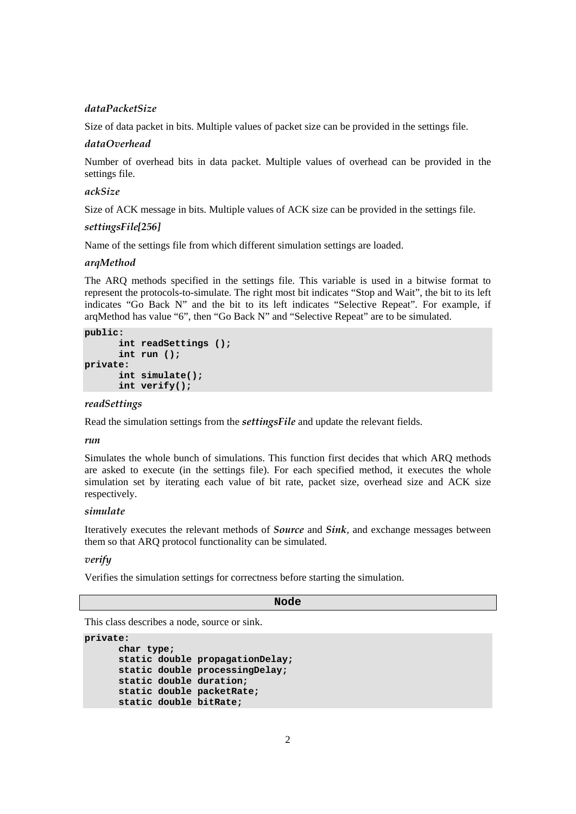# *dataPacketSize*

Size of data packet in bits. Multiple values of packet size can be provided in the settings file.

# *dataOverhead*

Number of overhead bits in data packet. Multiple values of overhead can be provided in the settings file.

# *ackSize*

Size of ACK message in bits. Multiple values of ACK size can be provided in the settings file.

# *settingsFile[256]*

Name of the settings file from which different simulation settings are loaded.

## *arqMethod*

The ARQ methods specified in the settings file. This variable is used in a bitwise format to represent the protocols-to-simulate. The right most bit indicates "Stop and Wait", the bit to its left indicates "Go Back N" and the bit to its left indicates "Selective Repeat". For example, if arqMethod has value "6", then "Go Back N" and "Selective Repeat" are to be simulated.

#### **public:**

```
 int readSettings (); 
        int run (); 
private: 
        int simulate(); 
        int verify();
```
#### *readSettings*

Read the simulation settings from the *settingsFile* and update the relevant fields.

# *run*

Simulates the whole bunch of simulations. This function first decides that which ARQ methods are asked to execute (in the settings file). For each specified method, it executes the whole simulation set by iterating each value of bit rate, packet size, overhead size and ACK size respectively.

## *simulate*

Iteratively executes the relevant methods of *Source* and *Sink*, and exchange messages between them so that ARQ protocol functionality can be simulated.

# *verify*

Verifies the simulation settings for correctness before starting the simulation.

# **Node**

This class describes a node, source or sink.

```
private: 
       char type; 
       static double propagationDelay; 
       static double processingDelay; 
       static double duration; 
       static double packetRate; 
       static double bitRate;
```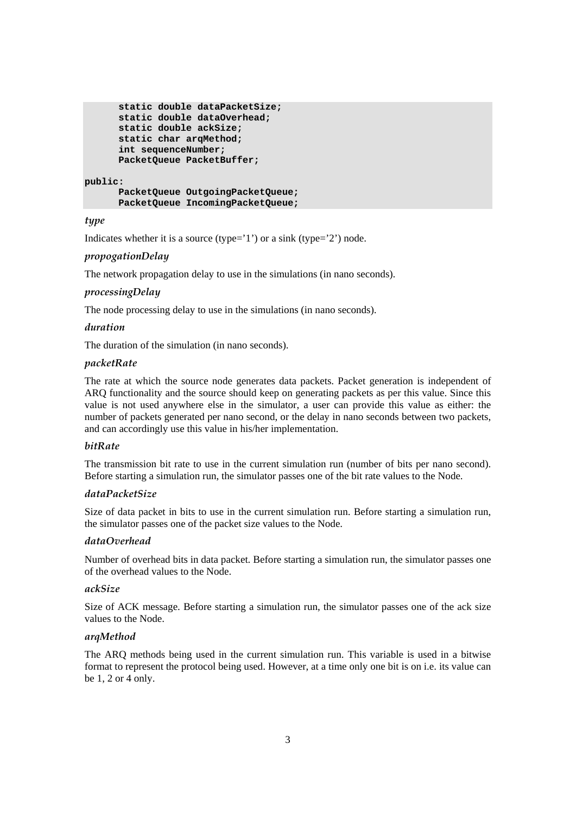```
 static double dataPacketSize; 
 static double dataOverhead; 
 static double ackSize; 
 static char arqMethod; 
 int sequenceNumber; 
 PacketQueue PacketBuffer;
```
#### **public:**

```
 PacketQueue OutgoingPacketQueue; 
 PacketQueue IncomingPacketQueue;
```
# *type*

Indicates whether it is a source (type= $'1'$ ) or a sink (type= $'2'$ ) node.

# *propogationDelay*

The network propagation delay to use in the simulations (in nano seconds).

# *processingDelay*

The node processing delay to use in the simulations (in nano seconds).

# *duration*

The duration of the simulation (in nano seconds).

# *packetRate*

The rate at which the source node generates data packets. Packet generation is independent of ARQ functionality and the source should keep on generating packets as per this value. Since this value is not used anywhere else in the simulator, a user can provide this value as either: the number of packets generated per nano second, or the delay in nano seconds between two packets, and can accordingly use this value in his/her implementation.

# *bitRate*

The transmission bit rate to use in the current simulation run (number of bits per nano second). Before starting a simulation run, the simulator passes one of the bit rate values to the Node.

# *dataPacketSize*

Size of data packet in bits to use in the current simulation run. Before starting a simulation run, the simulator passes one of the packet size values to the Node.

# *dataOverhead*

Number of overhead bits in data packet. Before starting a simulation run, the simulator passes one of the overhead values to the Node.

# *ackSize*

Size of ACK message. Before starting a simulation run, the simulator passes one of the ack size values to the Node.

# *arqMethod*

The ARQ methods being used in the current simulation run. This variable is used in a bitwise format to represent the protocol being used. However, at a time only one bit is on i.e. its value can be 1, 2 or 4 only.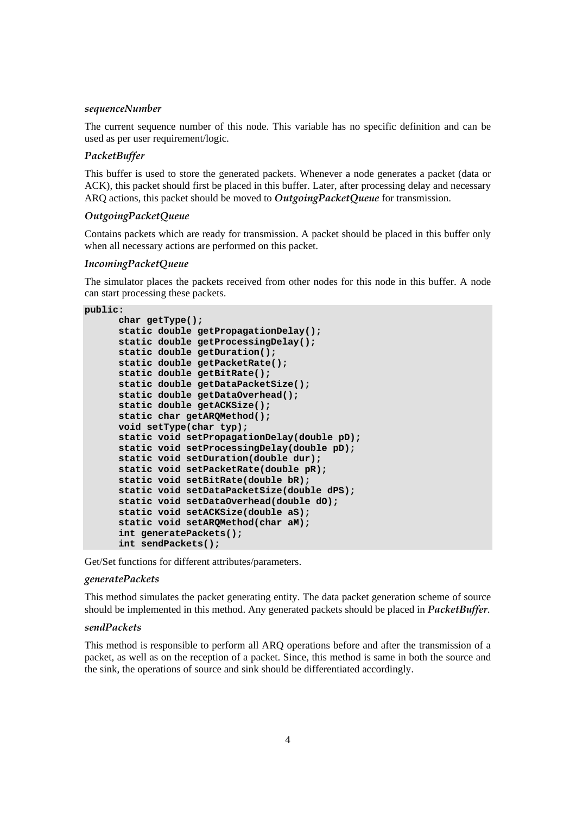#### *sequenceNumber*

The current sequence number of this node. This variable has no specific definition and can be used as per user requirement/logic.

# *PacketBuffer*

This buffer is used to store the generated packets. Whenever a node generates a packet (data or ACK), this packet should first be placed in this buffer. Later, after processing delay and necessary ARQ actions, this packet should be moved to *OutgoingPacketQueue* for transmission.

# *OutgoingPacketQueue*

Contains packets which are ready for transmission. A packet should be placed in this buffer only when all necessary actions are performed on this packet.

# *IncomingPacketQueue*

The simulator places the packets received from other nodes for this node in this buffer. A node can start processing these packets.

```
public:
```

```
 char getType(); 
 static double getPropagationDelay(); 
 static double getProcessingDelay(); 
 static double getDuration(); 
 static double getPacketRate(); 
 static double getBitRate(); 
 static double getDataPacketSize(); 
 static double getDataOverhead(); 
 static double getACKSize(); 
 static char getARQMethod(); 
 void setType(char typ); 
 static void setPropagationDelay(double pD); 
 static void setProcessingDelay(double pD); 
 static void setDuration(double dur); 
 static void setPacketRate(double pR); 
 static void setBitRate(double bR); 
 static void setDataPacketSize(double dPS); 
 static void setDataOverhead(double dO); 
 static void setACKSize(double aS); 
 static void setARQMethod(char aM); 
 int generatePackets(); 
 int sendPackets();
```
Get/Set functions for different attributes/parameters.

## *generatePackets*

This method simulates the packet generating entity. The data packet generation scheme of source should be implemented in this method. Any generated packets should be placed in *PacketBuffer*.

#### *sendPackets*

This method is responsible to perform all ARQ operations before and after the transmission of a packet, as well as on the reception of a packet. Since, this method is same in both the source and the sink, the operations of source and sink should be differentiated accordingly.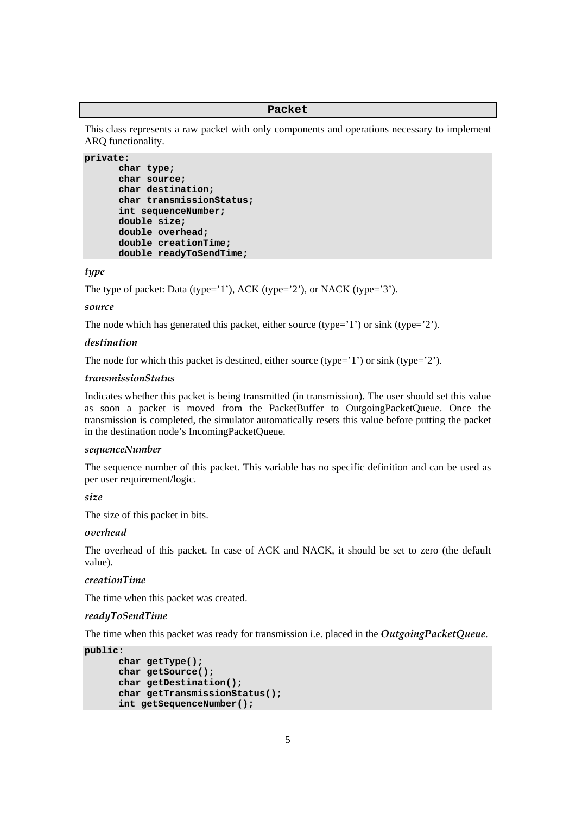#### **Packet**

This class represents a raw packet with only components and operations necessary to implement ARQ functionality.

```
private: 
        char type; 
        char source; 
        char destination; 
        char transmissionStatus; 
        int sequenceNumber; 
       double size; 
       double overhead; 
       double creationTime; 
       double readyToSendTime;
```
# *type*

The type of packet: Data (type='1'), ACK (type='2'), or NACK (type='3').

#### *source*

The node which has generated this packet, either source (type= $'1'$ ) or sink (type= $'2'$ ).

# *destination*

The node for which this packet is destined, either source (type='1') or sink (type='2').

# *transmissionStatus*

Indicates whether this packet is being transmitted (in transmission). The user should set this value as soon a packet is moved from the PacketBuffer to OutgoingPacketQueue. Once the transmission is completed, the simulator automatically resets this value before putting the packet in the destination node's IncomingPacketQueue.

## *sequenceNumber*

The sequence number of this packet. This variable has no specific definition and can be used as per user requirement/logic.

*size* 

The size of this packet in bits.

#### *overhead*

The overhead of this packet. In case of ACK and NACK, it should be set to zero (the default value).

# *creationTime*

The time when this packet was created.

#### *readyToSendTime*

The time when this packet was ready for transmission i.e. placed in the *OutgoingPacketQueue*.

```
public:
```

```
 char getType(); 
 char getSource(); 
 char getDestination(); 
 char getTransmissionStatus(); 
 int getSequenceNumber();
```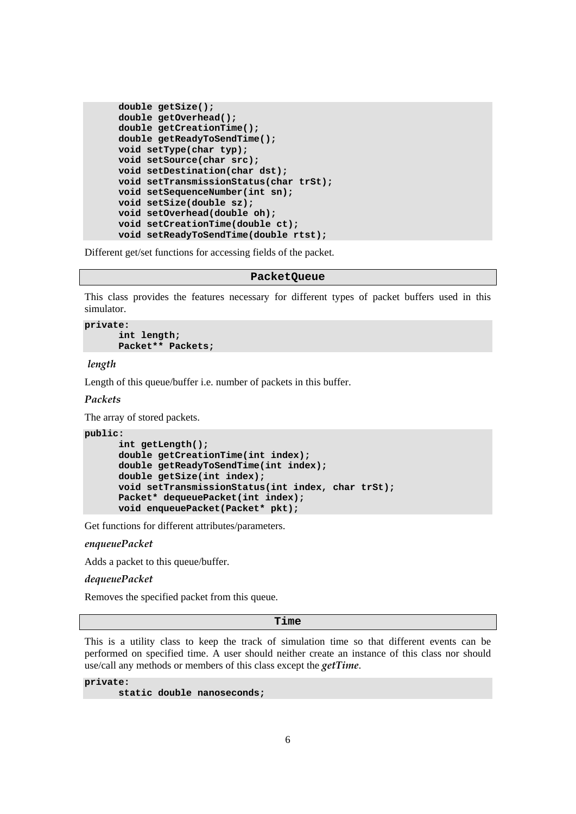```
 double getSize(); 
 double getOverhead(); 
 double getCreationTime(); 
 double getReadyToSendTime(); 
 void setType(char typ); 
 void setSource(char src); 
 void setDestination(char dst); 
 void setTransmissionStatus(char trSt); 
 void setSequenceNumber(int sn); 
 void setSize(double sz); 
 void setOverhead(double oh); 
 void setCreationTime(double ct); 
 void setReadyToSendTime(double rtst);
```
Different get/set functions for accessing fields of the packet.

#### **PacketQueue**

This class provides the features necessary for different types of packet buffers used in this simulator.

```
private: 
        int length; 
        Packet** Packets;
```
 *length* 

Length of this queue/buffer i.e. number of packets in this buffer.

# *Packets*

The array of stored packets.

```
public:
```

```
 int getLength(); 
 double getCreationTime(int index); 
 double getReadyToSendTime(int index); 
 double getSize(int index); 
 void setTransmissionStatus(int index, char trSt); 
 Packet* dequeuePacket(int index); 
 void enqueuePacket(Packet* pkt);
```
Get functions for different attributes/parameters.

*enqueuePacket* 

Adds a packet to this queue/buffer.

*dequeuePacket* 

Removes the specified packet from this queue.

**Time** 

This is a utility class to keep the track of simulation time so that different events can be performed on specified time. A user should neither create an instance of this class nor should use/call any methods or members of this class except the *getTime*.

**private:** 

```
 static double nanoseconds;
```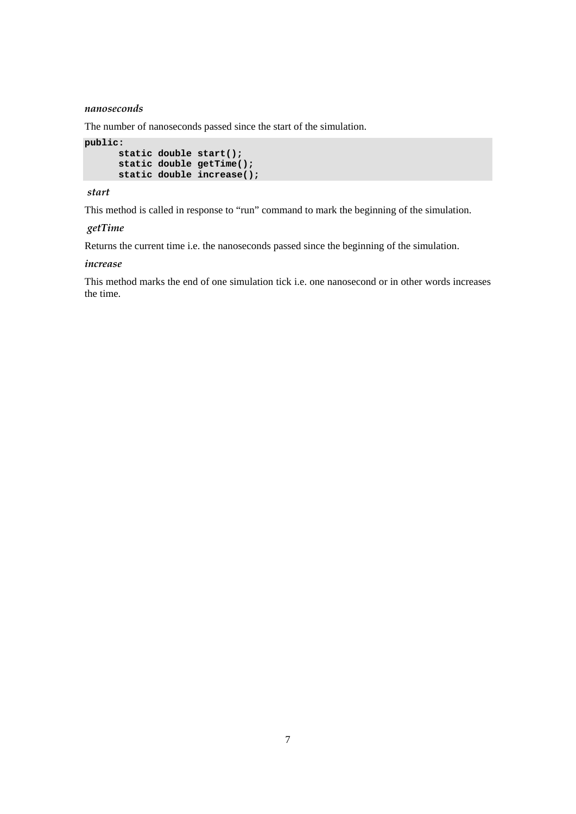## *nanoseconds*

The number of nanoseconds passed since the start of the simulation.

```
public: 
       static double start(); 
       static double getTime(); 
       static double increase();
```
# *start*

This method is called in response to "run" command to mark the beginning of the simulation.

# *getTime*

Returns the current time i.e. the nanoseconds passed since the beginning of the simulation.

#### *increase*

This method marks the end of one simulation tick i.e. one nanosecond or in other words increases the time.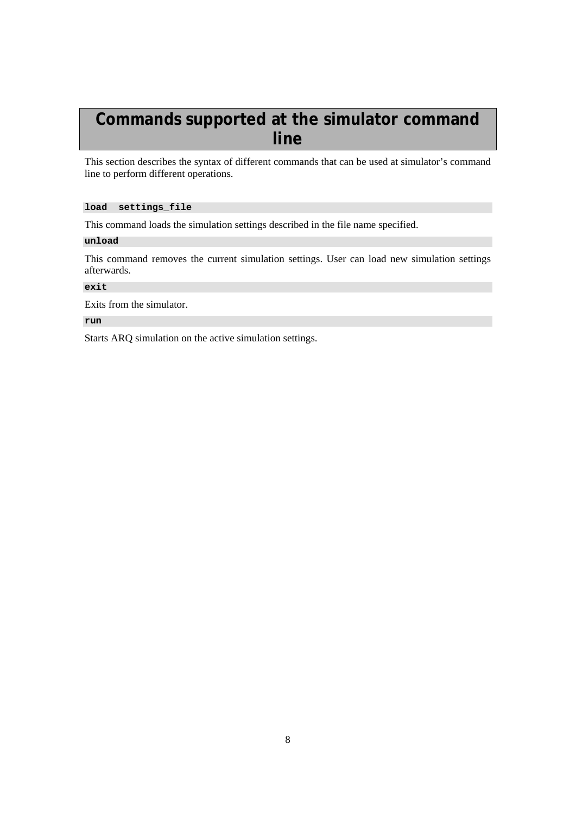# **Commands supported at the simulator command line**

This section describes the syntax of different commands that can be used at simulator's command line to perform different operations.

# **load settings\_file**

This command loads the simulation settings described in the file name specified.

#### **unload**

This command removes the current simulation settings. User can load new simulation settings afterwards.

# **exit**

Exits from the simulator.

# **run**

Starts ARQ simulation on the active simulation settings.